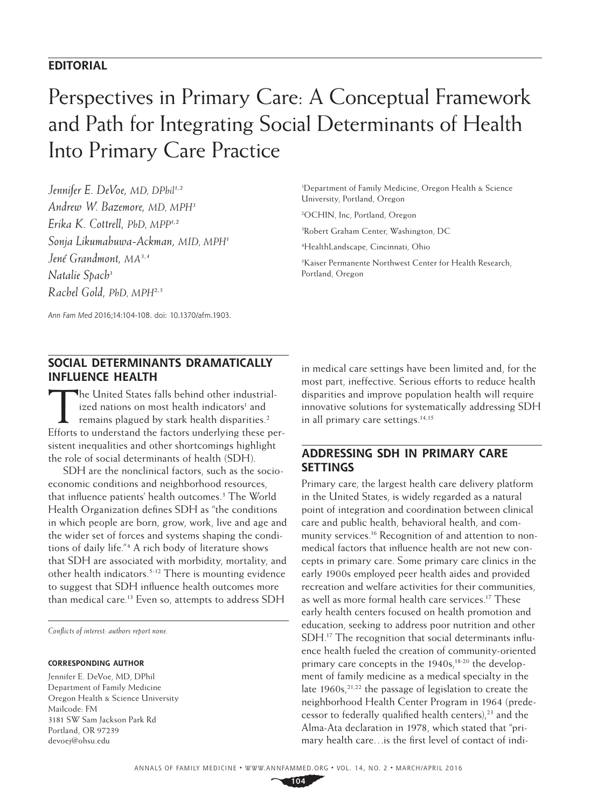# **EDITORIAL**

# Perspectives in Primary Care: A Conceptual Framework and Path for Integrating Social Determinants of Health Into Primary Care Practice

Jennifer E. DeVoe, MD, DPhil<sup>1,2</sup> *Andrew W. Bazemore, MD, MPH3 Erika K. Cottrell, PhD, MPP1,2 Sonja Likumahuwa-Ackman, MID, MPH1 Jené Grandmont, MA3,4 Natalie Spach3 Rachel Gold, PhD, MPH2,5*

1 Department of Family Medicine, Oregon Health & Science University, Portland, Oregon

2 OCHIN, Inc, Portland, Oregon

3 Robert Graham Center, Washington, DC

4 HealthLandscape, Cincinnati, Ohio

5 Kaiser Permanente Northwest Center for Health Research, Portland, Oregon

*Ann Fam Med* 2016;14:104-108. doi: 10.1370/afm.1903.

## **SOCIAL DETERMINANTS DRAMATICALLY INFLUENCE HEALTH**

The United States falls behind other industrialized nations on most health indicators<sup>1</sup> and remains plagued by stark health disparities.<sup>2</sup> Efforts to understand the factors underlying these persistent inequalities and other shortcomings highlight the role of social determinants of health (SDH).

SDH are the nonclinical factors, such as the socioeconomic conditions and neighborhood resources, that influence patients' health outcomes.<sup>3</sup> The World Health Organization defines SDH as "the conditions in which people are born, grow, work, live and age and the wider set of forces and systems shaping the conditions of daily life."4 A rich body of literature shows that SDH are associated with morbidity, mortality, and other health indicators.5-12 There is mounting evidence to suggest that SDH influence health outcomes more than medical care.<sup>13</sup> Even so, attempts to address SDH

*Conflicts of interest: authors report none.*

#### **CORRESPONDING AUTHOR**

Jennifer E. DeVoe, MD, DPhil Department of Family Medicine Oregon Health & Science University Mailcode: FM 3181 SW Sam Jackson Park Rd Portland, OR 97239 [devoej@ohsu.edu](mailto:devoej@ohsu.edu)

in medical care settings have been limited and, for the most part, ineffective. Serious efforts to reduce health disparities and improve population health will require innovative solutions for systematically addressing SDH in all primary care settings. $14,15$ 

## **ADDRESSING SDH IN PRIMARY CARE SETTINGS**

Primary care, the largest health care delivery platform in the United States, is widely regarded as a natural point of integration and coordination between clinical care and public health, behavioral health, and community services.16 Recognition of and attention to nonmedical factors that influence health are not new concepts in primary care. Some primary care clinics in the early 1900s employed peer health aides and provided recreation and welfare activities for their communities, as well as more formal health care services.<sup>17</sup> These early health centers focused on health promotion and education, seeking to address poor nutrition and other SDH.17 The recognition that social determinants influence health fueled the creation of community-oriented primary care concepts in the  $1940s$ ,<sup>18-20</sup> the development of family medicine as a medical specialty in the late  $1960s$ ,  $21,22$  the passage of legislation to create the neighborhood Health Center Program in 1964 (predecessor to federally qualified health centers),<sup>23</sup> and the Alma-Ata declaration in 1978, which stated that "primary health care…is the first level of contact of indi-

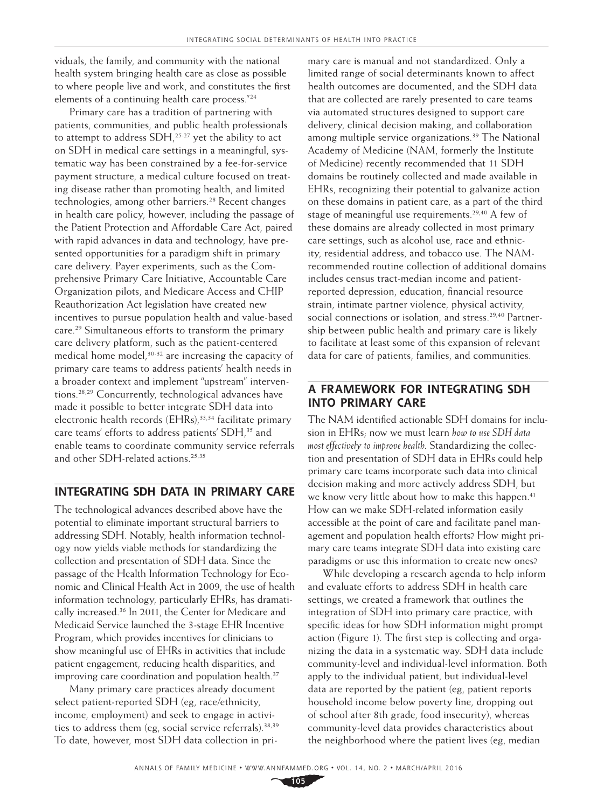viduals, the family, and community with the national health system bringing health care as close as possible to where people live and work, and constitutes the first elements of a continuing health care process."24

Primary care has a tradition of partnering with patients, communities, and public health professionals to attempt to address  $SDH<sub>1</sub><sup>25-27</sup>$  yet the ability to act on SDH in medical care settings in a meaningful, systematic way has been constrained by a fee-for-service payment structure, a medical culture focused on treating disease rather than promoting health, and limited technologies, among other barriers.<sup>28</sup> Recent changes in health care policy, however, including the passage of the Patient Protection and Affordable Care Act, paired with rapid advances in data and technology, have presented opportunities for a paradigm shift in primary care delivery. Payer experiments, such as the Comprehensive Primary Care Initiative, Accountable Care Organization pilots, and Medicare Access and CHIP Reauthorization Act legislation have created new incentives to pursue population health and value-based care.29 Simultaneous efforts to transform the primary care delivery platform, such as the patient-centered medical home model, $30-32$  are increasing the capacity of primary care teams to address patients' health needs in a broader context and implement "upstream" interventions.28,29 Concurrently, technological advances have made it possible to better integrate SDH data into electronic health records  $(EHRs)$ ,<sup>33,34</sup> facilitate primary care teams' efforts to address patients' SDH,<sup>35</sup> and enable teams to coordinate community service referrals and other SDH-related actions.<sup>25,35</sup>

# **INTEGRATING SDH DATA IN PRIMARY CARE**

The technological advances described above have the potential to eliminate important structural barriers to addressing SDH. Notably, health information technology now yields viable methods for standardizing the collection and presentation of SDH data. Since the passage of the Health Information Technology for Economic and Clinical Health Act in 2009, the use of health information technology, particularly EHRs, has dramatically increased.36 In 2011, the Center for Medicare and Medicaid Service launched the 3-stage EHR Incentive Program, which provides incentives for clinicians to show meaningful use of EHRs in activities that include patient engagement, reducing health disparities, and improving care coordination and population health.<sup>37</sup>

Many primary care practices already document select patient-reported SDH (eg, race/ethnicity, income, employment) and seek to engage in activities to address them (eg, social service referrals).38,39 To date, however, most SDH data collection in pri-

mary care is manual and not standardized. Only a limited range of social determinants known to affect health outcomes are documented, and the SDH data that are collected are rarely presented to care teams via automated structures designed to support care delivery, clinical decision making, and collaboration among multiple service organizations.<sup>39</sup> The National Academy of Medicine (NAM, formerly the Institute of Medicine) recently recommended that 11 SDH domains be routinely collected and made available in EHRs, recognizing their potential to galvanize action on these domains in patient care, as a part of the third stage of meaningful use requirements.<sup>29,40</sup> A few of these domains are already collected in most primary care settings, such as alcohol use, race and ethnicity, residential address, and tobacco use. The NAMrecommended routine collection of additional domains includes census tract-median income and patientreported depression, education, financial resource strain, intimate partner violence, physical activity, social connections or isolation, and stress.<sup>29,40</sup> Partnership between public health and primary care is likely to facilitate at least some of this expansion of relevant data for care of patients, families, and communities.

## **A FRAMEWORK FOR INTEGRATING SDH INTO PRIMARY CARE**

The NAM identified actionable SDH domains for inclusion in EHRs; now we must learn *how to use SDH data most effectively to improve health*. Standardizing the collection and presentation of SDH data in EHRs could help primary care teams incorporate such data into clinical decision making and more actively address SDH, but we know very little about how to make this happen.<sup>41</sup> How can we make SDH-related information easily accessible at the point of care and facilitate panel management and population health efforts? How might primary care teams integrate SDH data into existing care paradigms or use this information to create new ones?

While developing a research agenda to help inform and evaluate efforts to address SDH in health care settings, we created a framework that outlines the integration of SDH into primary care practice, with specific ideas for how SDH information might prompt action (Figure 1). The first step is collecting and organizing the data in a systematic way. SDH data include community-level and individual-level information. Both apply to the individual patient, but individual-level data are reported by the patient (eg, patient reports household income below poverty line, dropping out of school after 8th grade, food insecurity), whereas community-level data provides characteristics about the neighborhood where the patient lives (eg, median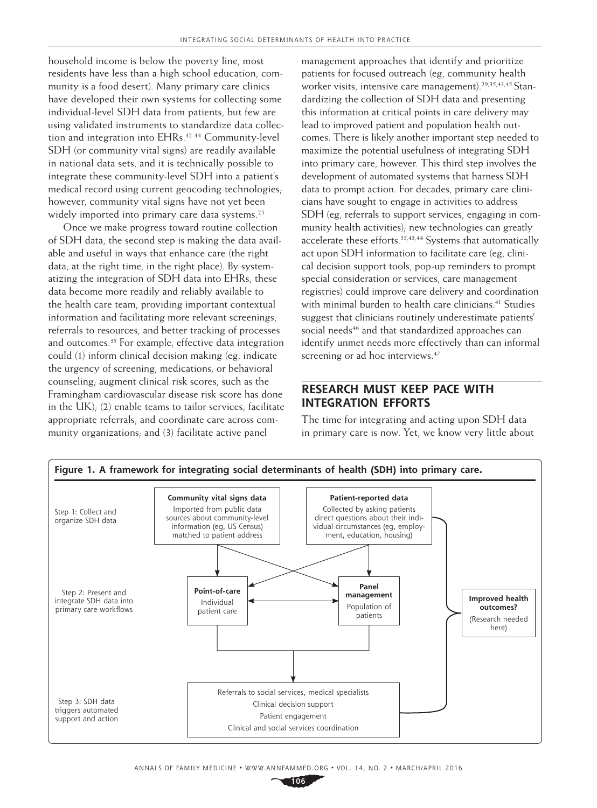household income is below the poverty line, most residents have less than a high school education, community is a food desert). Many primary care clinics have developed their own systems for collecting some individual-level SDH data from patients, but few are using validated instruments to standardize data collection and integration into EHRs.<sup>42-44</sup> Community-level SDH (or community vital signs) are readily available in national data sets, and it is technically possible to integrate these community-level SDH into a patient's medical record using current geocoding technologies; however, community vital signs have not yet been widely imported into primary care data systems.<sup>25</sup>

Once we make progress toward routine collection of SDH data, the second step is making the data available and useful in ways that enhance care (the right data, at the right time, in the right place). By systematizing the integration of SDH data into EHRs, these data become more readily and reliably available to the health care team, providing important contextual information and facilitating more relevant screenings, referrals to resources, and better tracking of processes and outcomes.<sup>35</sup> For example, effective data integration could (1) inform clinical decision making (eg, indicate the urgency of screening, medications, or behavioral counseling; augment clinical risk scores, such as the Framingham cardiovascular disease risk score has done in the UK); (2) enable teams to tailor services, facilitate appropriate referrals, and coordinate care across community organizations; and (3) facilitate active panel

management approaches that identify and prioritize patients for focused outreach (eg, community health worker visits, intensive care management).<sup>29,35,43,45</sup> Standardizing the collection of SDH data and presenting this information at critical points in care delivery may lead to improved patient and population health outcomes. There is likely another important step needed to maximize the potential usefulness of integrating SDH into primary care, however. This third step involves the development of automated systems that harness SDH data to prompt action. For decades, primary care clinicians have sought to engage in activities to address SDH (eg, referrals to support services, engaging in community health activities); new technologies can greatly accelerate these efforts.<sup>35,43,44</sup> Systems that automatically act upon SDH information to facilitate care (eg, clinical decision support tools, pop-up reminders to prompt special consideration or services, care management registries) could improve care delivery and coordination with minimal burden to health care clinicians.<sup>41</sup> Studies suggest that clinicians routinely underestimate patients' social needs<sup>46</sup> and that standardized approaches can identify unmet needs more effectively than can informal screening or ad hoc interviews.<sup>47</sup>

## **RESEARCH MUST KEEP PACE WITH INTEGRATION EFFORTS**

The time for integrating and acting upon SDH data in primary care is now. Yet, we know very little about

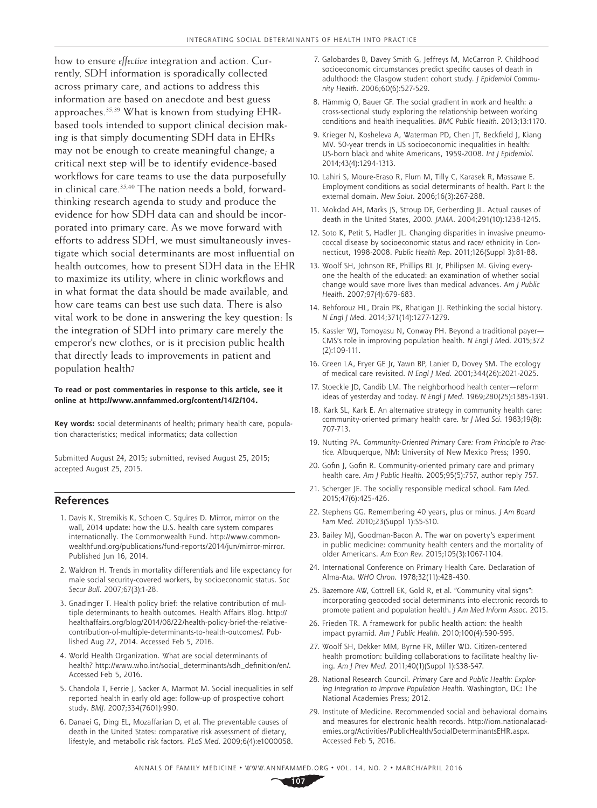how to ensure *effective* integration and action. Currently, SDH information is sporadically collected across primary care, and actions to address this information are based on anecdote and best guess approaches.35,39 What is known from studying EHRbased tools intended to support clinical decision making is that simply documenting SDH data in EHRs may not be enough to create meaningful change; a critical next step will be to identify evidence-based workflows for care teams to use the data purposefully in clinical care.<sup>35,40</sup> The nation needs a bold, forwardthinking research agenda to study and produce the evidence for how SDH data can and should be incorporated into primary care. As we move forward with efforts to address SDH, we must simultaneously investigate which social determinants are most influential on health outcomes, how to present SDH data in the EHR to maximize its utility, where in clinic workflows and in what format the data should be made available, and how care teams can best use such data. There is also vital work to be done in answering the key question: Is the integration of SDH into primary care merely the emperor's new clothes, or is it precision public health that directly leads to improvements in patient and population health?

#### **To read or post commentaries in response to this article, see it online at [http://www.annfammed.org/content/14/2/104.](http://www.annfammed.org/content/14/2/104)**

**Key words:** social determinants of health; primary health care, population characteristics; medical informatics; data collection

Submitted August 24, 2015; submitted, revised August 25, 2015; accepted August 25, 2015.

#### **References**

- 1. Davis K, Stremikis K, Schoen C, Squires D. Mirror, mirror on the wall, 2014 update: how the U.S. health care system compares internationally. The Commonwealth Fund. [http://www.common](http://www.commonwealthfund.org/publications/fund-reports/2014/jun/mirror-mirror)[wealthfund.org/publications/fund-reports/2014/jun/mirror-mirror.](http://www.commonwealthfund.org/publications/fund-reports/2014/jun/mirror-mirror) Published Jun 16, 2014.
- 2. Waldron H. Trends in mortality differentials and life expectancy for male social security-covered workers, by socioeconomic status. *Soc Secur Bull*. 2007;67(3):1-28.
- 3. Gnadinger T. Health policy brief: the relative contribution of multiple determinants to health outcomes*.* Health Affairs Blog. [http://](http://healthaffairs.org/blog/2014/08/22/health-policy-brief-the-relative-contribution-of-multiple-determinants-to-health-outcomes/) [healthaffairs.org/blog/2014/08/22/health-policy-brief-the-relative](http://healthaffairs.org/blog/2014/08/22/health-policy-brief-the-relative-contribution-of-multiple-determinants-to-health-outcomes/)[contribution-of-multiple-determinants-to-health-outcomes/.](http://healthaffairs.org/blog/2014/08/22/health-policy-brief-the-relative-contribution-of-multiple-determinants-to-health-outcomes/) Published Aug 22, 2014. Accessed Feb 5, 2016.
- 4. World Health Organization. What are social determinants of health? [http://www.who.int/social\\_determinants/sdh\\_definition/en/](http://www.who.int/social_determinants/sdh_definition/en). Accessed Feb 5, 2016.
- 5. Chandola T, Ferrie J, Sacker A, Marmot M. Social inequalities in self reported health in early old age: follow-up of prospective cohort study. *BMJ*. 2007;334(7601):990.
- 6. Danaei G, Ding EL, Mozaffarian D, et al. The preventable causes of death in the United States: comparative risk assessment of dietary, lifestyle, and metabolic risk factors. *PLoS Med*. 2009;6(4):e1000058.
- 7. Galobardes B, Davey Smith G, Jeffreys M, McCarron P. Childhood socioeconomic circumstances predict specific causes of death in adulthood: the Glasgow student cohort study. *J Epidemiol Community Health*. 2006;60(6):527-529.
- 8. Hämmig O, Bauer GF. The social gradient in work and health: a cross-sectional study exploring the relationship between working conditions and health inequalities. *BMC Public Health*. 2013;13:1170.
- 9. Krieger N, Kosheleva A, Waterman PD, Chen JT, Beckfield J, Kiang MV. 50-year trends in US socioeconomic inequalities in health: US-born black and white Americans, 1959-2008. *Int J Epidemiol*. 2014;43(4):1294-1313.
- 10. Lahiri S, Moure-Eraso R, Flum M, Tilly C, Karasek R, Massawe E. Employment conditions as social determinants of health. Part I: the external domain. *New Solut*. 2006;16(3):267-288.
- 11. Mokdad AH, Marks JS, Stroup DF, Gerberding JL. Actual causes of death in the United States, 2000. *JAMA*. 2004;291(10):1238-1245.
- 12. Soto K, Petit S, Hadler JL. Changing disparities in invasive pneumococcal disease by socioeconomic status and race/ ethnicity in Connecticut, 1998-2008. *Public Health Rep*. 2011;126(Suppl 3):81-88.
- 13. Woolf SH, Johnson RE, Phillips RL Jr, Philipsen M. Giving everyone the health of the educated: an examination of whether social change would save more lives than medical advances. *Am J Public Health*. 2007;97(4):679-683.
- 14. Behforouz HL, Drain PK, Rhatigan JJ. Rethinking the social history. *N Engl J Med*. 2014;371(14):1277-1279.
- 15. Kassler WJ, Tomoyasu N, Conway PH. Beyond a traditional payer— CMS's role in improving population health. *N Engl J Med*. 2015;372 (2):109-111.
- 16. Green LA, Fryer GE Jr, Yawn BP, Lanier D, Dovey SM. The ecology of medical care revisited. *N Engl J Med*. 2001;344(26):2021-2025.
- 17. Stoeckle JD, Candib LM. The neighborhood health center—reform ideas of yesterday and today. *N Engl J Med*. 1969;280(25):1385-1391.
- 18. Kark SL, Kark E. An alternative strategy in community health care: community-oriented primary health care. *Isr J Med Sci*. 1983;19(8): 707-713.
- 19. Nutting PA. *Community-Oriented Primary Care: From Principle to Practice.* Albuquerque, NM: University of New Mexico Press; 1990.
- 20. Gofin J, Gofin R. Community-oriented primary care and primary health care. *Am J Public Health*. 2005;95(5):757, author reply 757.
- 21. Scherger JE. The socially responsible medical school. *Fam Med*. 2015;47(6):425-426.
- 22. Stephens GG. Remembering 40 years, plus or minus. *J Am Board Fam Med*. 2010;23(Suppl 1):S5-S10.
- 23. Bailey MJ, Goodman-Bacon A. The war on poverty's experiment in public medicine: community health centers and the mortality of older Americans. *Am Econ Rev*. 2015;105(3):1067-1104.
- 24. International Conference on Primary Health Care. Declaration of Alma-Ata. *WHO Chron*. 1978;32(11):428-430.
- 25. Bazemore AW, Cottrell EK, Gold R, et al. "Community vital signs": incorporating geocoded social determinants into electronic records to promote patient and population health. *J Am Med Inform Assoc*. 2015.
- 26. Frieden TR. A framework for public health action: the health impact pyramid. *Am J Public Health*. 2010;100(4):590-595.
- 27. Woolf SH, Dekker MM, Byrne FR, Miller WD. Citizen-centered health promotion: building collaborations to facilitate healthy living. *Am J Prev Med*. 2011;40(1)(Suppl 1):S38-S47.
- 28. National Research Council. *Primary Care and Public Health: Exploring Integration to Improve Population Health.* Washington, DC: The National Academies Press; 2012.
- 29. Institute of Medicine. Recommended social and behavioral domains and measures for electronic health records. [http://iom.nationalacad](http://iom.nationalacademies.org/Activities/PublicHealth/SocialDeterminantsEHR.aspx)[emies.org/Activities/PublicHealth/SocialDeterminantsEHR.aspx.](http://iom.nationalacademies.org/Activities/PublicHealth/SocialDeterminantsEHR.aspx) Accessed Feb 5, 2016.